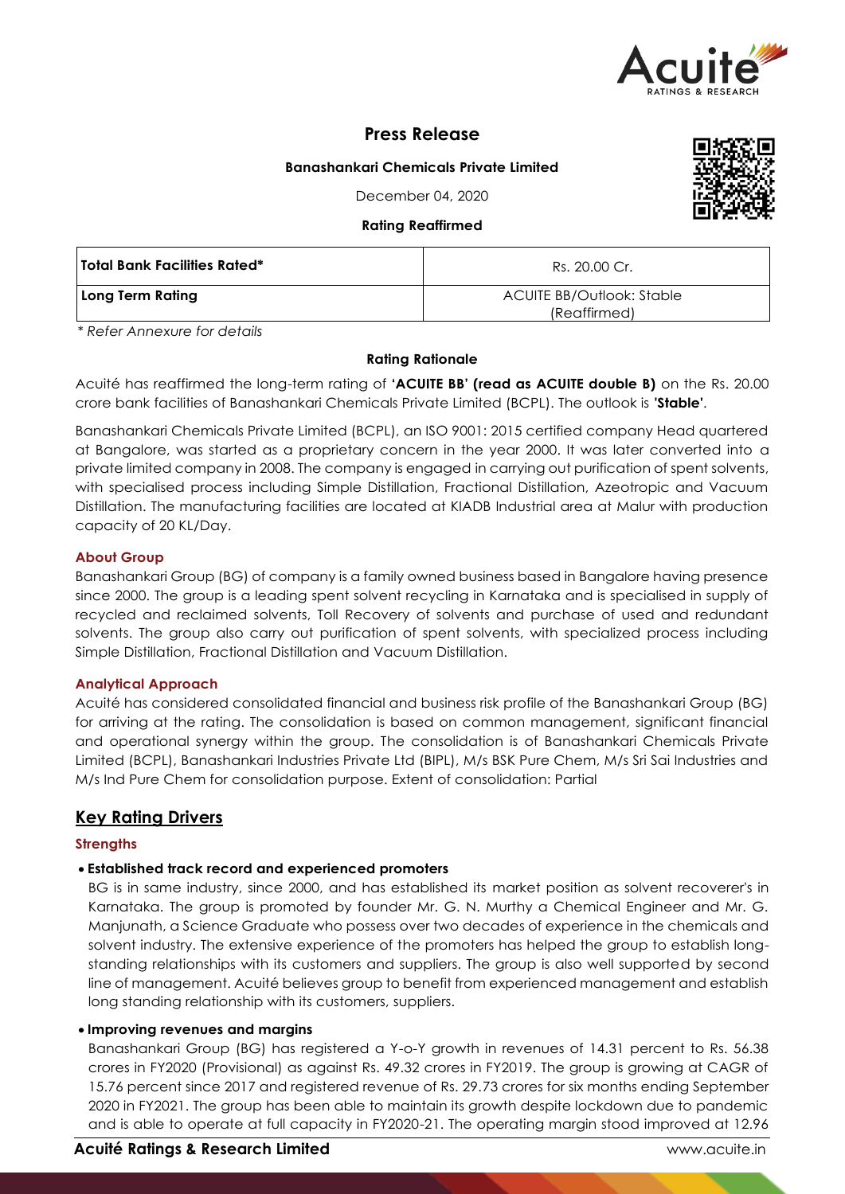

# **Press Release**

## **Banashankari Chemicals Private Limited**

December 04, 2020

#### **Rating Reaffirmed**

| kating keattirmed            |                                                  |  |  |
|------------------------------|--------------------------------------------------|--|--|
| Total Bank Facilities Rated* | Rs. 20.00 Cr.                                    |  |  |
| Long Term Rating             | <b>ACUITE BB/Outlook: Stable</b><br>(Reaffirmed) |  |  |

*\* Refer Annexure for details*

## **Rating Rationale**

Acuité has reaffirmed the long-term rating of **'ACUITE BB' (read as ACUITE double B)** on the Rs. 20.00 crore bank facilities of Banashankari Chemicals Private Limited (BCPL). The outlook is **'Stable'**.

Banashankari Chemicals Private Limited (BCPL), an ISO 9001: 2015 certified company Head quartered at Bangalore, was started as a proprietary concern in the year 2000. It was later converted into a private limited company in 2008. The company is engaged in carrying out purification of spent solvents, with specialised process including Simple Distillation, Fractional Distillation, Azeotropic and Vacuum Distillation. The manufacturing facilities are located at KIADB Industrial area at Malur with production capacity of 20 KL/Day.

## **About Group**

Banashankari Group (BG) of company is a family owned business based in Bangalore having presence since 2000. The group is a leading spent solvent recycling in Karnataka and is specialised in supply of recycled and reclaimed solvents, Toll Recovery of solvents and purchase of used and redundant solvents. The group also carry out purification of spent solvents, with specialized process including Simple Distillation, Fractional Distillation and Vacuum Distillation.

## **Analytical Approach**

Acuité has considered consolidated financial and business risk profile of the Banashankari Group (BG) for arriving at the rating. The consolidation is based on common management, significant financial and operational synergy within the group. The consolidation is of Banashankari Chemicals Private Limited (BCPL), Banashankari Industries Private Ltd (BIPL), M/s BSK Pure Chem, M/s Sri Sai Industries and M/s Ind Pure Chem for consolidation purpose. Extent of consolidation: Partial

## **Key Rating Drivers**

## **Strengths**

## **Established track record and experienced promoters**

BG is in same industry, since 2000, and has established its market position as solvent recoverer's in Karnataka. The group is promoted by founder Mr. G. N. Murthy a Chemical Engineer and Mr. G. Manjunath, a Science Graduate who possess over two decades of experience in the chemicals and solvent industry. The extensive experience of the promoters has helped the group to establish longstanding relationships with its customers and suppliers. The group is also well supported by second line of management. Acuité believes group to benefit from experienced management and establish long standing relationship with its customers, suppliers.

#### **Improving revenues and margins**

Banashankari Group (BG) has registered a Y-o-Y growth in revenues of 14.31 percent to Rs. 56.38 crores in FY2020 (Provisional) as against Rs. 49.32 crores in FY2019. The group is growing at CAGR of 15.76 percent since 2017 and registered revenue of Rs. 29.73 crores for six months ending September 2020 in FY2021. The group has been able to maintain its growth despite lockdown due to pandemic and is able to operate at full capacity in FY2020-21. The operating margin stood improved at 12.96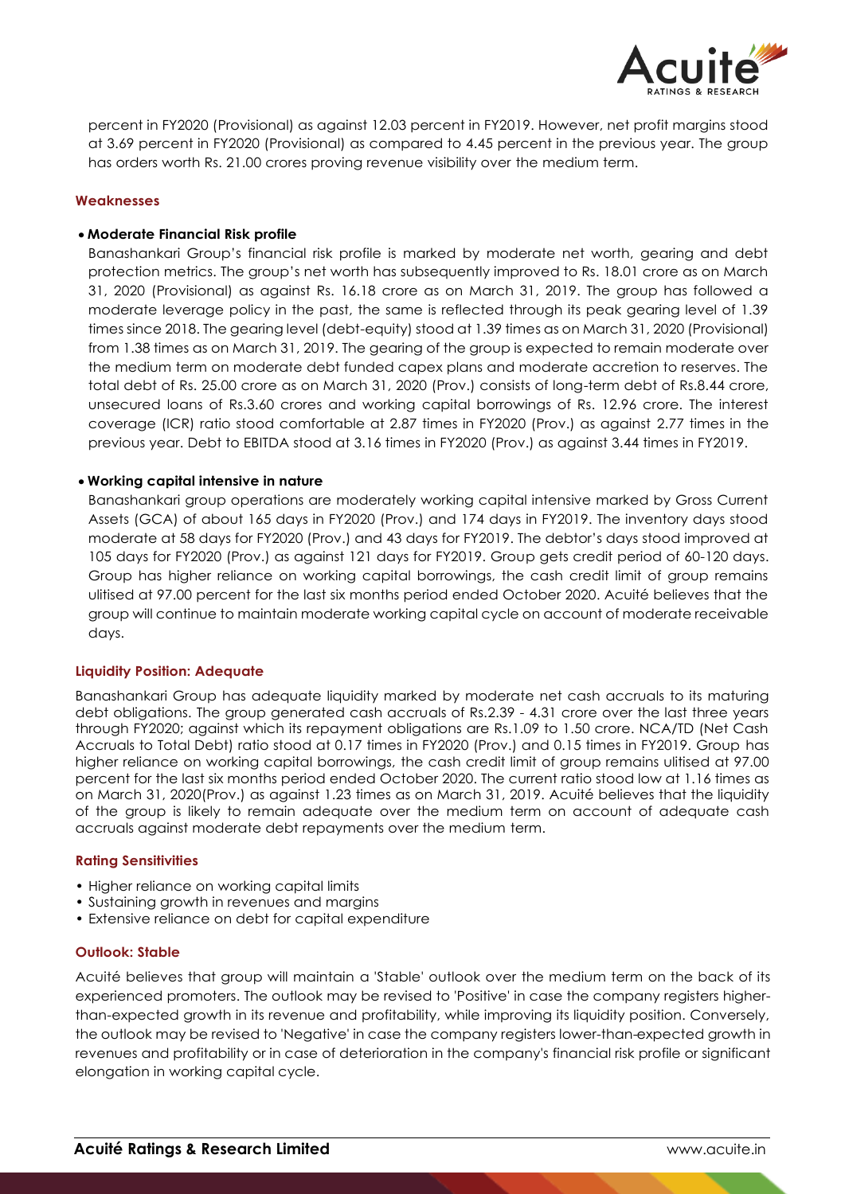

percent in FY2020 (Provisional) as against 12.03 percent in FY2019. However, net profit margins stood at 3.69 percent in FY2020 (Provisional) as compared to 4.45 percent in the previous year. The group has orders worth Rs. 21.00 crores proving revenue visibility over the medium term.

#### **Weaknesses**

## **Moderate Financial Risk profile**

Banashankari Group's financial risk profile is marked by moderate net worth, gearing and debt protection metrics. The group's net worth has subsequently improved to Rs. 18.01 crore as on March 31, 2020 (Provisional) as against Rs. 16.18 crore as on March 31, 2019. The group has followed a moderate leverage policy in the past, the same is reflected through its peak gearing level of 1.39 times since 2018. The gearing level (debt-equity) stood at 1.39 times as on March 31, 2020 (Provisional) from 1.38 times as on March 31, 2019. The gearing of the group is expected to remain moderate over the medium term on moderate debt funded capex plans and moderate accretion to reserves. The total debt of Rs. 25.00 crore as on March 31, 2020 (Prov.) consists of long-term debt of Rs.8.44 crore, unsecured loans of Rs.3.60 crores and working capital borrowings of Rs. 12.96 crore. The interest coverage (ICR) ratio stood comfortable at 2.87 times in FY2020 (Prov.) as against 2.77 times in the previous year. Debt to EBITDA stood at 3.16 times in FY2020 (Prov.) as against 3.44 times in FY2019.

## **Working capital intensive in nature**

Banashankari group operations are moderately working capital intensive marked by Gross Current Assets (GCA) of about 165 days in FY2020 (Prov.) and 174 days in FY2019. The inventory days stood moderate at 58 days for FY2020 (Prov.) and 43 days for FY2019. The debtor's days stood improved at 105 days for FY2020 (Prov.) as against 121 days for FY2019. Group gets credit period of 60-120 days. Group has higher reliance on working capital borrowings, the cash credit limit of group remains ulitised at 97.00 percent for the last six months period ended October 2020. Acuité believes that the group will continue to maintain moderate working capital cycle on account of moderate receivable days.

#### **Liquidity Position: Adequate**

Banashankari Group has adequate liquidity marked by moderate net cash accruals to its maturing debt obligations. The group generated cash accruals of Rs.2.39 - 4.31 crore over the last three years through FY2020; against which its repayment obligations are Rs.1.09 to 1.50 crore. NCA/TD (Net Cash Accruals to Total Debt) ratio stood at 0.17 times in FY2020 (Prov.) and 0.15 times in FY2019. Group has higher reliance on working capital borrowings, the cash credit limit of group remains ulitised at 97.00 percent for the last six months period ended October 2020. The current ratio stood low at 1.16 times as on March 31, 2020(Prov.) as against 1.23 times as on March 31, 2019. Acuité believes that the liquidity of the group is likely to remain adequate over the medium term on account of adequate cash accruals against moderate debt repayments over the medium term.

#### **Rating Sensitivities**

- Higher reliance on working capital limits
- Sustaining growth in revenues and margins
- Extensive reliance on debt for capital expenditure

#### **Outlook: Stable**

Acuité believes that group will maintain a 'Stable' outlook over the medium term on the back of its experienced promoters. The outlook may be revised to 'Positive' in case the company registers higherthan-expected growth in its revenue and profitability, while improving its liquidity position. Conversely, the outlook may be revised to 'Negative' in case the company registers lower-than-expected growth in revenues and profitability or in case of deterioration in the company's financial risk profile or significant elongation in working capital cycle.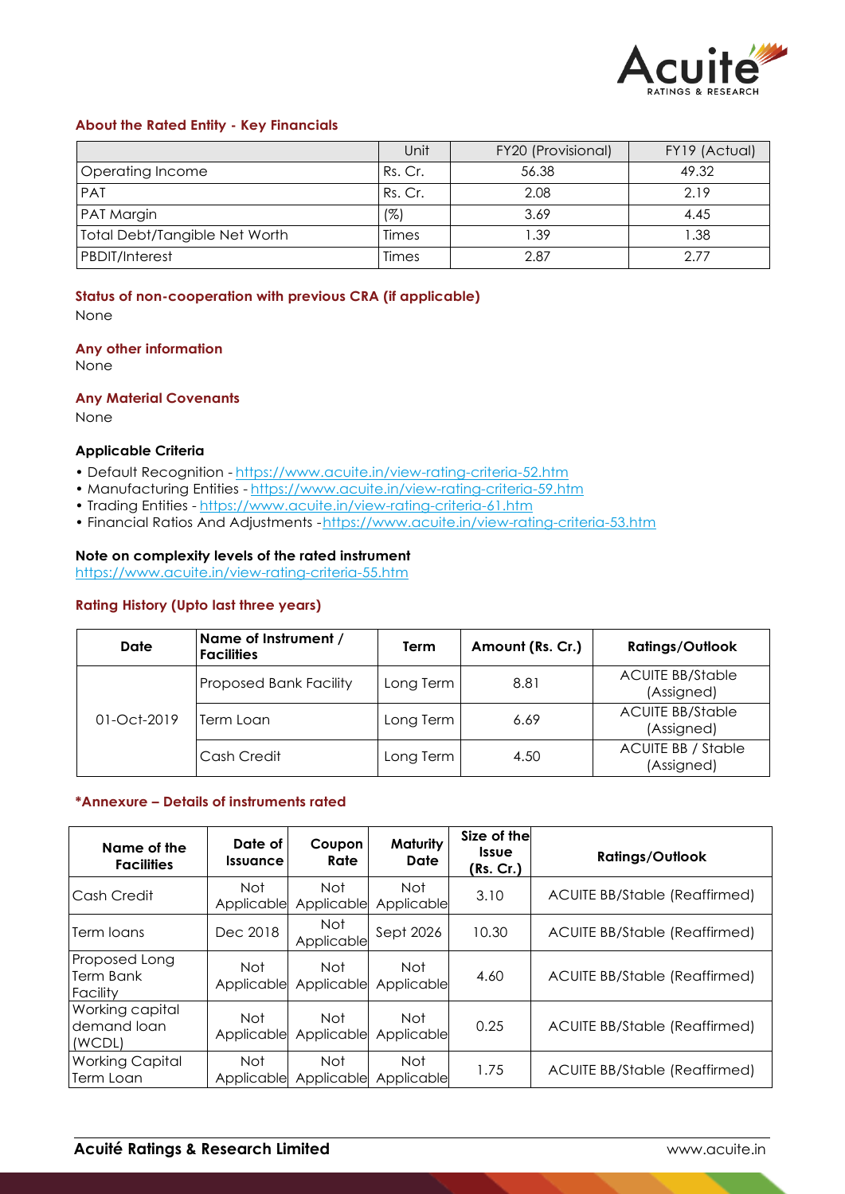

## **About the Rated Entity - Key Financials**

|                               | Unit    | FY20 (Provisional) | FY19 (Actual) |
|-------------------------------|---------|--------------------|---------------|
| Operating Income              | Rs. Cr. | 56.38              | 49.32         |
| <b>PAT</b>                    | Rs. Cr. | 2.08               | 2.19          |
| <b>PAT Margin</b>             | (%)     | 3.69               | 4.45          |
| Total Debt/Tangible Net Worth | Times   | 39. ا              | 1.38          |
| <b>PBDIT/Interest</b>         | Times   | 2.87               | 2.77          |

## **Status of non-cooperation with previous CRA (if applicable)**

None

#### **Any other information**

None

## **Any Material Covenants**

None

#### **Applicable Criteria**

- Default Recognition https://www.acuite.in/view-rating-criteria-52.htm
- Manufacturing Entities https://www.acuite.in/view-rating-criteria-59.htm
- Trading Entities https://www.acuite.in/view-rating-criteria-61.htm
- Financial Ratios And Adjustments -https://www.acuite.in/view-rating-criteria-53.htm

## **Note on complexity levels of the rated instrument**

https://www.acuite.in/view-rating-criteria-55.htm

## **Rating History (Upto last three years)**

| Date          | Name of Instrument /<br><b>Facilities</b> | Term      | Amount (Rs. Cr.) | <b>Ratings/Outlook</b>                  |
|---------------|-------------------------------------------|-----------|------------------|-----------------------------------------|
|               | <b>Proposed Bank Facility</b>             | Long Term | 8.81             | <b>ACUITE BB/Stable</b><br>(Assigned)   |
| $01-Oct-2019$ | Term Loan                                 | Long Term | 6.69             | <b>ACUITE BB/Stable</b><br>(Assigned)   |
|               | Cash Credit                               | Long Term | 4.50             | <b>ACUITE BB / Stable</b><br>(Assigned) |

#### **\*Annexure – Details of instruments rated**

| Name of the<br><b>Facilities</b>         | Date of<br><b>Issuance</b> | Coupon<br>Rate           | <b>Maturity</b><br>Date  | Size of the<br><b>Issue</b><br>(Rs. Cr.) | <b>Ratings/Outlook</b>               |
|------------------------------------------|----------------------------|--------------------------|--------------------------|------------------------------------------|--------------------------------------|
| Cash Credit                              | Not<br>Applicable          | Not<br>Applicable        | Not<br>Applicable        | 3.10                                     | ACUITE BB/Stable (Reaffirmed)        |
| Term Ioans                               | Dec 2018                   | <b>Not</b><br>Applicable | Sept 2026                | 10.30                                    | <b>ACUITE BB/Stable (Reaffirmed)</b> |
| Proposed Long<br>Term Bank<br>Facility   | Not<br>Applicable          | Not<br>Applicable        | Not<br>Applicable        | 4.60                                     | <b>ACUITE BB/Stable (Reaffirmed)</b> |
| Working capital<br>demand loan<br>(WCDL) | Not<br>Applicable          | <b>Not</b><br>Applicable | <b>Not</b><br>Applicable | 0.25                                     | <b>ACUITE BB/Stable (Reaffirmed)</b> |
| <b>Working Capital</b><br>Term Loan      | <b>Not</b><br>Applicable   | <b>Not</b><br>Applicable | Not<br>Applicable        | 1.75                                     | ACUITE BB/Stable (Reaffirmed)        |